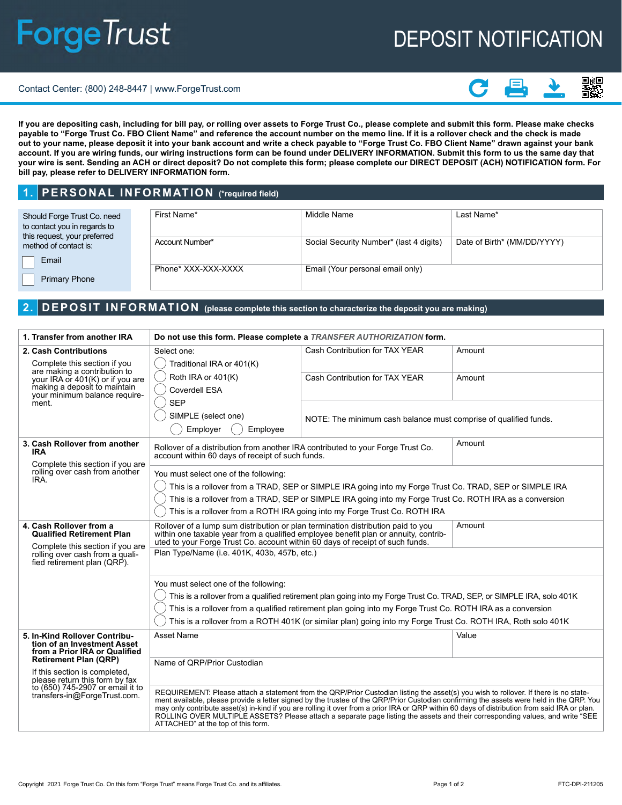# **ForgeTrust**

# DEPOSIT NOTIFICATION

#### Contact Center: (800) 248-8447 | www.ForgeTrust.com



**If you are depositing cash, including for bill pay, or rolling over assets to Forge Trust Co., please complete and submit this form. Please make checks payable to "Forge Trust Co. FBO Client Name" and reference the account number on the memo line. If it is a rollover check and the check is made out to your name, please deposit it into your bank account and write a check payable to "Forge Trust Co. FBO Client Name" drawn against your bank account. If you are wiring funds, our wiring instructions form can be found under DELIVERY INFORMATION. Submit this form to us the same day that your wire is sent. Sending an ACH or direct deposit? Do not complete this form; please complete our DIRECT DEPOSIT (ACH) NOTIFICATION form. For bill pay, please refer to DELIVERY INFORMATION form.**

#### **1. PERSONAL INFORMATION (\*required field)**

| Should Forge Trust Co. need<br>to contact you in regards to<br>this request, your preferred | First Name*         | Middle Name                             | Last Name*                  |
|---------------------------------------------------------------------------------------------|---------------------|-----------------------------------------|-----------------------------|
| method of contact is:<br>Email                                                              | Account Number*     | Social Security Number* (last 4 digits) | Date of Birth* (MM/DD/YYYY) |
| <b>Primary Phone</b>                                                                        | Phone* XXX-XXX-XXXX | Email (Your personal email only)        |                             |

### **2. DEPOSIT INFORMATION (please complete this section to characterize the deposit you are making)**

| 1. Transfer from another IRA                                                                                                                                                                                                                                         | Do not use this form. Please complete a TRANSFER AUTHORIZATION form.                                                                                                                                                                                          |                                                                                                                                                                                                                                                                                                                                                                                                                                                                                                                                                                    |        |
|----------------------------------------------------------------------------------------------------------------------------------------------------------------------------------------------------------------------------------------------------------------------|---------------------------------------------------------------------------------------------------------------------------------------------------------------------------------------------------------------------------------------------------------------|--------------------------------------------------------------------------------------------------------------------------------------------------------------------------------------------------------------------------------------------------------------------------------------------------------------------------------------------------------------------------------------------------------------------------------------------------------------------------------------------------------------------------------------------------------------------|--------|
| 2. Cash Contributions                                                                                                                                                                                                                                                | Select one:                                                                                                                                                                                                                                                   | Cash Contribution for TAX YEAR                                                                                                                                                                                                                                                                                                                                                                                                                                                                                                                                     | Amount |
| Complete this section if you<br>are making a contribution to                                                                                                                                                                                                         | Traditional IRA or 401(K)                                                                                                                                                                                                                                     |                                                                                                                                                                                                                                                                                                                                                                                                                                                                                                                                                                    |        |
| your IRA or 401(K) or if you are                                                                                                                                                                                                                                     | Roth IRA or 401(K)                                                                                                                                                                                                                                            | Cash Contribution for TAX YEAR                                                                                                                                                                                                                                                                                                                                                                                                                                                                                                                                     | Amount |
| making a deposit to maintain<br>your minimum balance require-                                                                                                                                                                                                        | <b>Coverdell ESA</b>                                                                                                                                                                                                                                          |                                                                                                                                                                                                                                                                                                                                                                                                                                                                                                                                                                    |        |
| ment.                                                                                                                                                                                                                                                                | <b>SEP</b>                                                                                                                                                                                                                                                    |                                                                                                                                                                                                                                                                                                                                                                                                                                                                                                                                                                    |        |
|                                                                                                                                                                                                                                                                      | SIMPLE (select one)                                                                                                                                                                                                                                           | NOTE: The minimum cash balance must comprise of qualified funds.                                                                                                                                                                                                                                                                                                                                                                                                                                                                                                   |        |
|                                                                                                                                                                                                                                                                      | Employer<br>Employee                                                                                                                                                                                                                                          |                                                                                                                                                                                                                                                                                                                                                                                                                                                                                                                                                                    |        |
| 3. Cash Rollover from another<br><b>IRA</b>                                                                                                                                                                                                                          | Rollover of a distribution from another IRA contributed to your Forge Trust Co.<br>account within 60 days of receipt of such funds.                                                                                                                           |                                                                                                                                                                                                                                                                                                                                                                                                                                                                                                                                                                    | Amount |
| Complete this section if you are<br>rolling over cash from another                                                                                                                                                                                                   | You must select one of the following:                                                                                                                                                                                                                         |                                                                                                                                                                                                                                                                                                                                                                                                                                                                                                                                                                    |        |
| IRA.                                                                                                                                                                                                                                                                 | This is a rollover from a TRAD, SEP or SIMPLE IRA going into my Forge Trust Co. TRAD, SEP or SIMPLE IRA                                                                                                                                                       |                                                                                                                                                                                                                                                                                                                                                                                                                                                                                                                                                                    |        |
|                                                                                                                                                                                                                                                                      | This is a rollover from a TRAD, SEP or SIMPLE IRA going into my Forge Trust Co. ROTH IRA as a conversion                                                                                                                                                      |                                                                                                                                                                                                                                                                                                                                                                                                                                                                                                                                                                    |        |
|                                                                                                                                                                                                                                                                      | This is a rollover from a ROTH IRA going into my Forge Trust Co. ROTH IRA                                                                                                                                                                                     |                                                                                                                                                                                                                                                                                                                                                                                                                                                                                                                                                                    |        |
| 4. Cash Rollover from a<br><b>Qualified Retirement Plan</b>                                                                                                                                                                                                          | Amount<br>Rollover of a lump sum distribution or plan termination distribution paid to you<br>within one taxable year from a qualified employee benefit plan or annuity, contributed to your Forge Trust Co. account within 60 days of receipt of such funds. |                                                                                                                                                                                                                                                                                                                                                                                                                                                                                                                                                                    |        |
| Complete this section if you are<br>rolling over cash from a quali-<br>fied retirement plan (QRP).                                                                                                                                                                   | Plan Type/Name (i.e. 401K, 403b, 457b, etc.)                                                                                                                                                                                                                  |                                                                                                                                                                                                                                                                                                                                                                                                                                                                                                                                                                    |        |
|                                                                                                                                                                                                                                                                      | You must select one of the following:                                                                                                                                                                                                                         |                                                                                                                                                                                                                                                                                                                                                                                                                                                                                                                                                                    |        |
|                                                                                                                                                                                                                                                                      |                                                                                                                                                                                                                                                               | This is a rollover from a qualified retirement plan going into my Forge Trust Co. TRAD, SEP, or SIMPLE IRA, solo 401K                                                                                                                                                                                                                                                                                                                                                                                                                                              |        |
|                                                                                                                                                                                                                                                                      | This is a rollover from a qualified retirement plan going into my Forge Trust Co. ROTH IRA as a conversion                                                                                                                                                    |                                                                                                                                                                                                                                                                                                                                                                                                                                                                                                                                                                    |        |
|                                                                                                                                                                                                                                                                      | This is a rollover from a ROTH 401K (or similar plan) going into my Forge Trust Co. ROTH IRA, Roth solo 401K                                                                                                                                                  |                                                                                                                                                                                                                                                                                                                                                                                                                                                                                                                                                                    |        |
| 5. In-Kind Rollover Contribu-<br>tion of an Investment Asset<br>from a Prior IRA or Qualified<br><b>Retirement Plan (QRP)</b><br>If this section is completed,<br>please return this form by fax<br>to (650) 745-2907 or email it to<br>transfers-in@ForgeTrust.com. | Asset Name                                                                                                                                                                                                                                                    |                                                                                                                                                                                                                                                                                                                                                                                                                                                                                                                                                                    | Value  |
|                                                                                                                                                                                                                                                                      | Name of QRP/Prior Custodian                                                                                                                                                                                                                                   |                                                                                                                                                                                                                                                                                                                                                                                                                                                                                                                                                                    |        |
|                                                                                                                                                                                                                                                                      |                                                                                                                                                                                                                                                               |                                                                                                                                                                                                                                                                                                                                                                                                                                                                                                                                                                    |        |
|                                                                                                                                                                                                                                                                      | ATTACHED" at the top of this form.                                                                                                                                                                                                                            | REQUIREMENT: Please attach a statement from the QRP/Prior Custodian listing the asset(s) you wish to rollover. If there is no state-<br>ment available, please provide a letter signed by the trustee of the QRP/Prior Custodian confirming the assets were held in the QRP. You<br>may only contribute asset(s) in-kind if you are rolling it over from a prior IRA or QRP within 60 days of distribution from said IRA or plan.<br>ROLLING OVER MULTIPLE ASSETS? Please attach a separate page listing the assets and their corresponding values, and write "SEE |        |